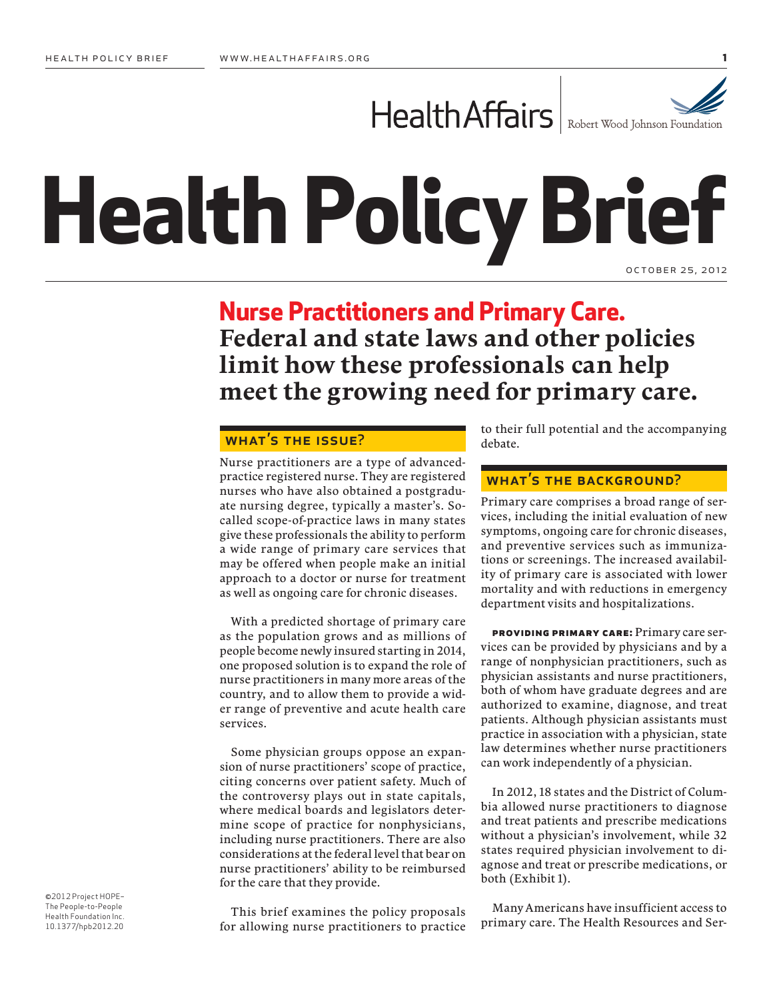

# **Health Policy Brief** october 25, 2012

# **Nurse Practitioners and Primary Care. Federal and state laws and other policies limit how these professionals can help meet the growing need for primary care.**

# WHAT'S THE ISSUE?

Nurse practitioners are a type of advancedpractice registered nurse. They are registered nurses who have also obtained a postgraduate nursing degree, typically a master's. Socalled scope-of-practice laws in many states give these professionals the ability to perform a wide range of primary care services that may be offered when people make an initial approach to a doctor or nurse for treatment as well as ongoing care for chronic diseases.

With a predicted shortage of primary care as the population grows and as millions of people become newly insured starting in 2014, one proposed solution is to expand the role of nurse practitioners in many more areas of the country, and to allow them to provide a wider range of preventive and acute health care services.

Some physician groups oppose an expansion of nurse practitioners' scope of practice, citing concerns over patient safety. Much of the controversy plays out in state capitals, where medical boards and legislators determine scope of practice for nonphysicians, including nurse practitioners. There are also considerations at the federal level that bear on nurse practitioners' ability to be reimbursed for the care that they provide.

This brief examines the policy proposals for allowing nurse practitioners to practice to their full potential and the accompanying debate.

#### WHAT'S THE BACKGROUND?

Primary care comprises a broad range of services, including the initial evaluation of new symptoms, ongoing care for chronic diseases, and preventive services such as immunizations or screenings. The increased availability of primary care is associated with lower mortality and with reductions in emergency department visits and hospitalizations.

**providing primary care:** Primary care services can be provided by physicians and by a range of nonphysician practitioners, such as physician assistants and nurse practitioners, both of whom have graduate degrees and are authorized to examine, diagnose, and treat patients. Although physician assistants must practice in association with a physician, state law determines whether nurse practitioners can work independently of a physician.

In 2012, 18 states and the District of Columbia allowed nurse practitioners to diagnose and treat patients and prescribe medications without a physician's involvement, while 32 states required physician involvement to diagnose and treat or prescribe medications, or both (Exhibit 1).

Many Americans have insufficient access to primary care. The Health Resources and Ser-

©2012 Project HOPE– The People-to-People Health Foundation Inc. 10.1377/hpb2012.20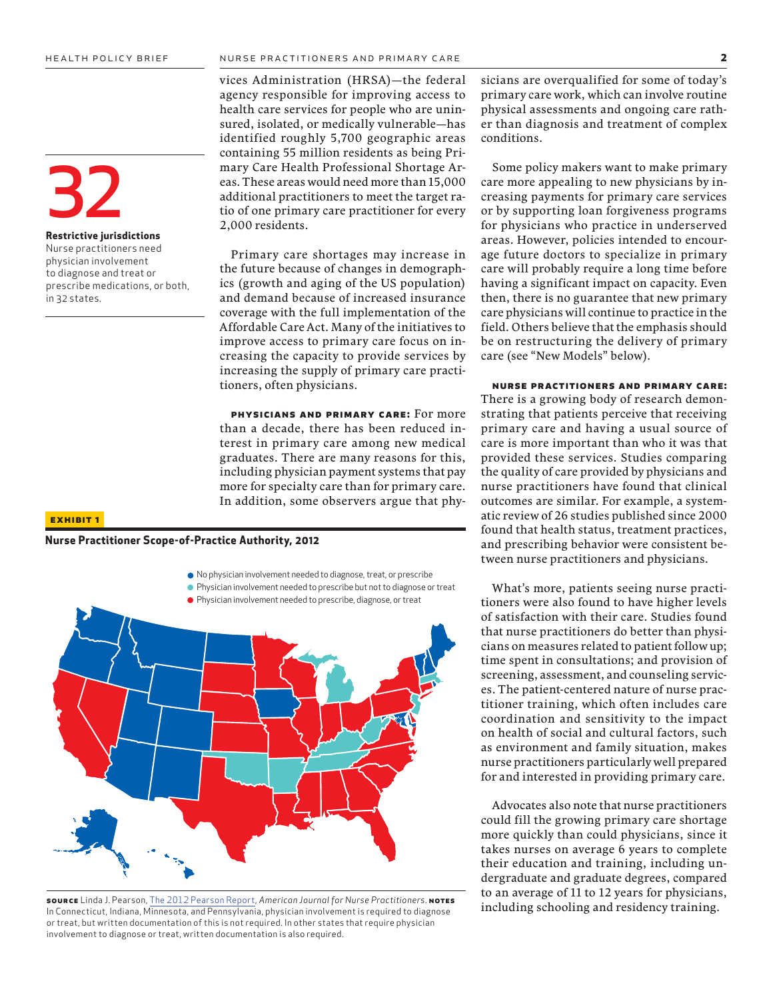32

in 32 states.

**Restrictive jurisdictions** Nurse practitioners need physician involvement to diagnose and treat or prescribe medications, or both, vices Administration (HRSA)—the federal agency responsible for improving access to health care services for people who are uninsured, isolated, or medically vulnerable—has identified roughly 5,700 geographic areas containing 55 million residents as being Primary Care Health Professional Shortage Areas. These areas would need more than 15,000 additional practitioners to meet the target ratio of one primary care practitioner for every 2,000 residents.

Primary care shortages may increase in the future because of changes in demographics (growth and aging of the US population) and demand because of increased insurance coverage with the full implementation of the Affordable Care Act. Many of the initiatives to improve access to primary care focus on increasing the capacity to provide services by increasing the supply of primary care practitioners, often physicians.

**physicians and primary care:** For more than a decade, there has been reduced interest in primary care among new medical graduates. There are many reasons for this, including physician payment systems that pay more for specialty care than for primary care. In addition, some observers argue that phy-

#### **exhibit 1**

#### **Nurse Practitioner Scope-of-Practice Authority, 2012**



**source** [Linda J. Pearson, The 2012 Pearson Report,](http://www.pearsonreport.com/) *American Journal for Nurse Practitioners*. **notes** In Connecticut, Indiana, Minnesota, and Pennsylvania, physician involvement is required to diagnose or treat, but written documentation of this is not required. In other states that require physician involvement to diagnose or treat, written documentation is also required.

sicians are overqualified for some of today's primary care work, which can involve routine physical assessments and ongoing care rather than diagnosis and treatment of complex conditions.

Some policy makers want to make primary care more appealing to new physicians by increasing payments for primary care services or by supporting loan forgiveness programs for physicians who practice in underserved areas. However, policies intended to encourage future doctors to specialize in primary care will probably require a long time before having a significant impact on capacity. Even then, there is no guarantee that new primary care physicians will continue to practice in the field. Others believe that the emphasis should be on restructuring the delivery of primary care (see "New Models" below).

#### **nurse practitioners and primary care:**

There is a growing body of research demonstrating that patients perceive that receiving primary care and having a usual source of care is more important than who it was that provided these services. Studies comparing the quality of care provided by physicians and nurse practitioners have found that clinical outcomes are similar. For example, a systematic review of 26 studies published since 2000 found that health status, treatment practices, and prescribing behavior were consistent between nurse practitioners and physicians.

What's more, patients seeing nurse practitioners were also found to have higher levels of satisfaction with their care. Studies found that nurse practitioners do better than physicians on measures related to patient follow up; time spent in consultations; and provision of screening, assessment, and counseling services. The patient-centered nature of nurse practitioner training, which often includes care coordination and sensitivity to the impact on health of social and cultural factors, such as environment and family situation, makes nurse practitioners particularly well prepared for and interested in providing primary care.

Advocates also note that nurse practitioners could fill the growing primary care shortage more quickly than could physicians, since it takes nurses on average 6 years to complete their education and training, including undergraduate and graduate degrees, compared to an average of 11 to 12 years for physicians, including schooling and residency training.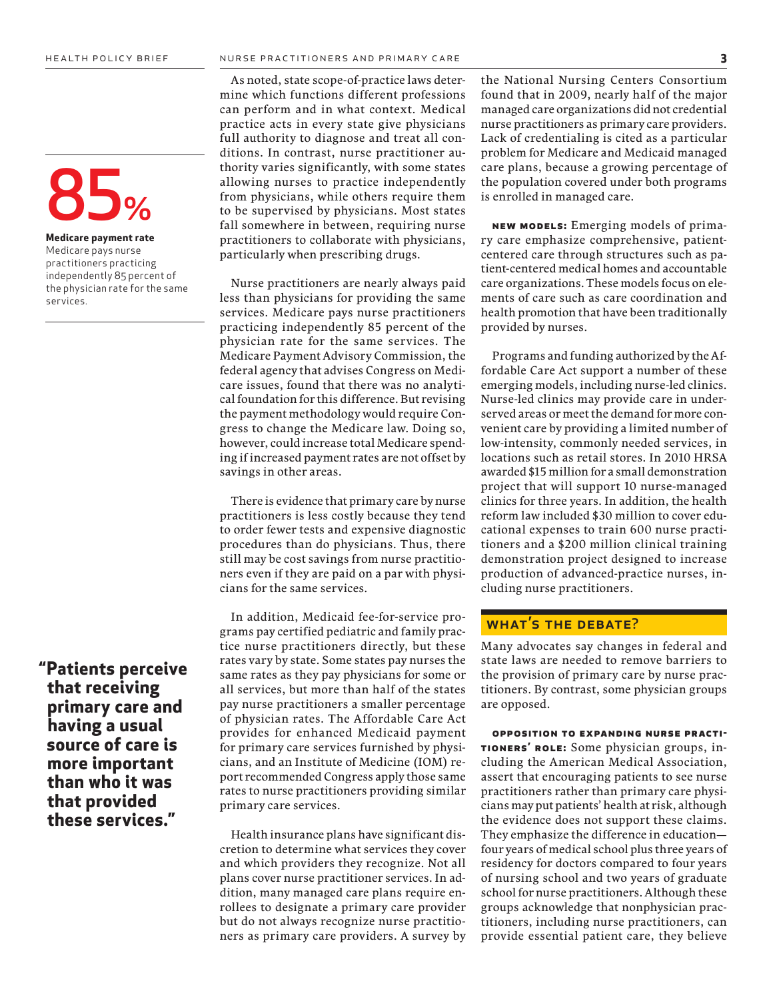**Medicare payment rate** Medicare pays nurse practitioners practicing independently 85 percent of the physician rate for the same services.

**"Patients perceive that receiving primary care and having a usual source of care is more important than who it was that provided these services."**

As noted, state scope-of-practice laws determine which functions different professions can perform and in what context. Medical practice acts in every state give physicians full authority to diagnose and treat all conditions. In contrast, nurse practitioner authority varies significantly, with some states allowing nurses to practice independently from physicians, while others require them to be supervised by physicians. Most states fall somewhere in between, requiring nurse practitioners to collaborate with physicians, particularly when prescribing drugs.

Nurse practitioners are nearly always paid less than physicians for providing the same services. Medicare pays nurse practitioners practicing independently 85 percent of the physician rate for the same services. The Medicare Payment Advisory Commission, the federal agency that advises Congress on Medicare issues, found that there was no analytical foundation for this difference. But revising the payment methodology would require Congress to change the Medicare law. Doing so, however, could increase total Medicare spending if increased payment rates are not offset by savings in other areas.

There is evidence that primary care by nurse practitioners is less costly because they tend to order fewer tests and expensive diagnostic procedures than do physicians. Thus, there still may be cost savings from nurse practitioners even if they are paid on a par with physicians for the same services.

In addition, Medicaid fee-for-service programs pay certified pediatric and family practice nurse practitioners directly, but these rates vary by state. Some states pay nurses the same rates as they pay physicians for some or all services, but more than half of the states pay nurse practitioners a smaller percentage of physician rates. The Affordable Care Act provides for enhanced Medicaid payment for primary care services furnished by physicians, and an Institute of Medicine (IOM) report recommended Congress apply those same rates to nurse practitioners providing similar primary care services.

Health insurance plans have significant discretion to determine what services they cover and which providers they recognize. Not all plans cover nurse practitioner services. In addition, many managed care plans require enrollees to designate a primary care provider but do not always recognize nurse practitioners as primary care providers. A survey by

the National Nursing Centers Consortium found that in 2009, nearly half of the major managed care organizations did not credential nurse practitioners as primary care providers. Lack of credentialing is cited as a particular problem for Medicare and Medicaid managed care plans, because a growing percentage of the population covered under both programs is enrolled in managed care.

**new models:** Emerging models of primary care emphasize comprehensive, patientcentered care through structures such as patient-centered medical homes and accountable care organizations. These models focus on elements of care such as care coordination and health promotion that have been traditionally provided by nurses.

Programs and funding authorized by the Affordable Care Act support a number of these emerging models, including nurse-led clinics. Nurse-led clinics may provide care in underserved areas or meet the demand for more convenient care by providing a limited number of low-intensity, commonly needed services, in locations such as retail stores. In 2010 HRSA awarded \$15 million for a small demonstration project that will support 10 nurse-managed clinics for three years. In addition, the health reform law included \$30 million to cover educational expenses to train 600 nurse practitioners and a \$200 million clinical training demonstration project designed to increase production of advanced-practice nurses, including nurse practitioners.

# WHAT'S THE DEBATE?

Many advocates say changes in federal and state laws are needed to remove barriers to the provision of primary care by nurse practitioners. By contrast, some physician groups are opposed.

**opposition to expanding nurse practitioners' role:** Some physician groups, including the American Medical Association, assert that encouraging patients to see nurse practitioners rather than primary care physicians may put patients' health at risk, although the evidence does not support these claims. They emphasize the difference in education four years of medical school plus three years of residency for doctors compared to four years of nursing school and two years of graduate school for nurse practitioners. Although these groups acknowledge that nonphysician practitioners, including nurse practitioners, can provide essential patient care, they believe